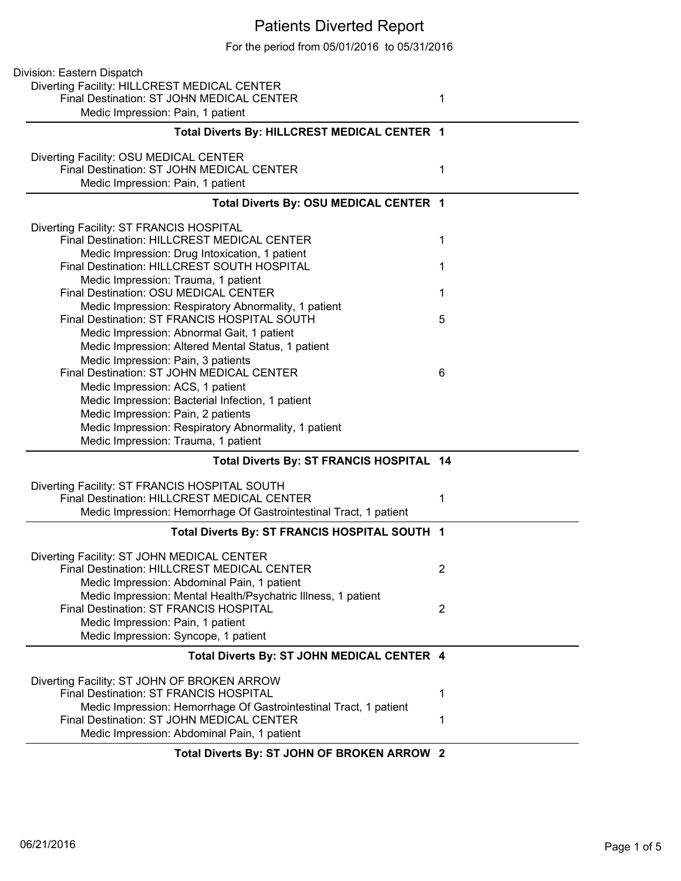## Patients Diverted Report

For the period from 05/01/2016 to 05/31/2016

| Division: Eastern Dispatch                                        |                |
|-------------------------------------------------------------------|----------------|
| Diverting Facility: HILLCREST MEDICAL CENTER                      |                |
| Final Destination: ST JOHN MEDICAL CENTER                         | 1              |
| Medic Impression: Pain, 1 patient                                 |                |
| Total Diverts By: HILLCREST MEDICAL CENTER 1                      |                |
| Diverting Facility: OSU MEDICAL CENTER                            |                |
| Final Destination: ST JOHN MEDICAL CENTER                         | 1              |
| Medic Impression: Pain, 1 patient                                 |                |
| Total Diverts By: OSU MEDICAL CENTER 1                            |                |
| Diverting Facility: ST FRANCIS HOSPITAL                           |                |
| Final Destination: HILLCREST MEDICAL CENTER                       | 1              |
| Medic Impression: Drug Intoxication, 1 patient                    |                |
| Final Destination: HILLCREST SOUTH HOSPITAL                       | 1              |
| Medic Impression: Trauma, 1 patient                               |                |
| Final Destination: OSU MEDICAL CENTER                             | 1              |
| Medic Impression: Respiratory Abnormality, 1 patient              |                |
| Final Destination: ST FRANCIS HOSPITAL SOUTH                      | 5              |
| Medic Impression: Abnormal Gait, 1 patient                        |                |
| Medic Impression: Altered Mental Status, 1 patient                |                |
| Medic Impression: Pain, 3 patients                                |                |
| Final Destination: ST JOHN MEDICAL CENTER                         | 6              |
| Medic Impression: ACS, 1 patient                                  |                |
| Medic Impression: Bacterial Infection, 1 patient                  |                |
| Medic Impression: Pain, 2 patients                                |                |
| Medic Impression: Respiratory Abnormality, 1 patient              |                |
| Medic Impression: Trauma, 1 patient                               |                |
| Total Diverts By: ST FRANCIS HOSPITAL 14                          |                |
| Diverting Facility: ST FRANCIS HOSPITAL SOUTH                     |                |
| Final Destination: HILLCREST MEDICAL CENTER                       | 1              |
| Medic Impression: Hemorrhage Of Gastrointestinal Tract, 1 patient |                |
|                                                                   |                |
| Total Diverts By: ST FRANCIS HOSPITAL SOUTH 1                     |                |
| Diverting Facility: ST JOHN MEDICAL CENTER                        |                |
| Final Destination: HILLCREST MEDICAL CENTER                       | $\overline{2}$ |
| Medic Impression: Abdominal Pain, 1 patient                       |                |
| Medic Impression: Mental Health/Psychatric Illness, 1 patient     |                |
| Final Destination: ST FRANCIS HOSPITAL                            | 2              |
| Medic Impression: Pain, 1 patient                                 |                |
| Medic Impression: Syncope, 1 patient                              |                |
| Total Diverts By: ST JOHN MEDICAL CENTER 4                        |                |
| Diverting Facility: ST JOHN OF BROKEN ARROW                       |                |
| Final Destination: ST FRANCIS HOSPITAL                            | 1              |
| Medic Impression: Hemorrhage Of Gastrointestinal Tract, 1 patient |                |
| Final Destination: ST JOHN MEDICAL CENTER                         | 1              |
| Medic Impression: Abdominal Pain, 1 patient                       |                |
| Total Diverts By: ST JOHN OF BROKEN ARROW 2                       |                |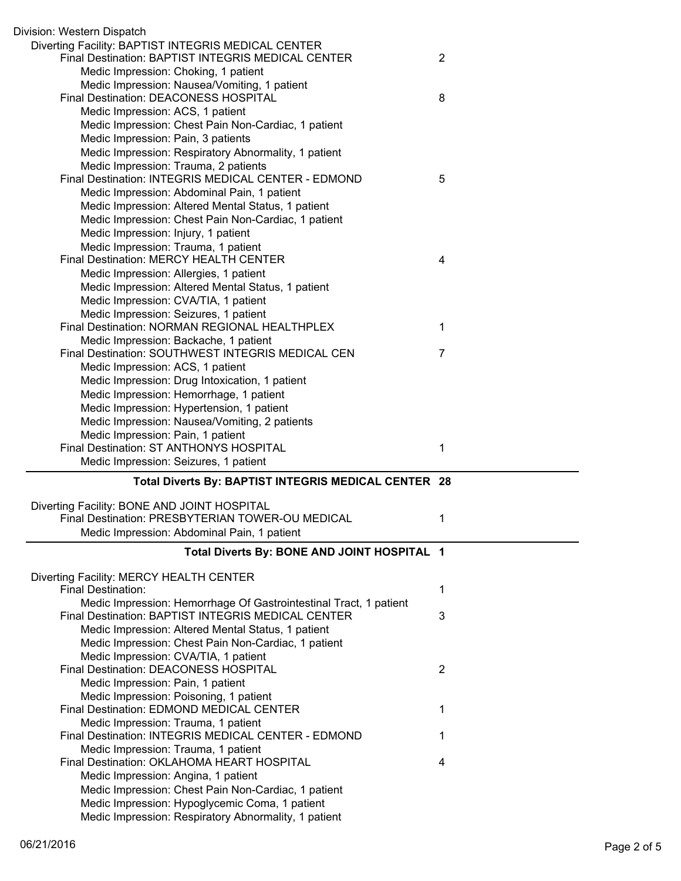| Division: Western Dispatch                                                                                              |                |
|-------------------------------------------------------------------------------------------------------------------------|----------------|
| Diverting Facility: BAPTIST INTEGRIS MEDICAL CENTER<br>Final Destination: BAPTIST INTEGRIS MEDICAL CENTER               | $\overline{2}$ |
| Medic Impression: Choking, 1 patient                                                                                    |                |
| Medic Impression: Nausea/Vomiting, 1 patient                                                                            |                |
| Final Destination: DEACONESS HOSPITAL                                                                                   | 8              |
| Medic Impression: ACS, 1 patient                                                                                        |                |
| Medic Impression: Chest Pain Non-Cardiac, 1 patient                                                                     |                |
| Medic Impression: Pain, 3 patients                                                                                      |                |
| Medic Impression: Respiratory Abnormality, 1 patient                                                                    |                |
| Medic Impression: Trauma, 2 patients                                                                                    |                |
| Final Destination: INTEGRIS MEDICAL CENTER - EDMOND                                                                     | 5              |
| Medic Impression: Abdominal Pain, 1 patient                                                                             |                |
| Medic Impression: Altered Mental Status, 1 patient                                                                      |                |
| Medic Impression: Chest Pain Non-Cardiac, 1 patient                                                                     |                |
| Medic Impression: Injury, 1 patient                                                                                     |                |
| Medic Impression: Trauma, 1 patient                                                                                     |                |
| Final Destination: MERCY HEALTH CENTER                                                                                  | 4              |
| Medic Impression: Allergies, 1 patient                                                                                  |                |
| Medic Impression: Altered Mental Status, 1 patient                                                                      |                |
| Medic Impression: CVA/TIA, 1 patient                                                                                    |                |
| Medic Impression: Seizures, 1 patient                                                                                   |                |
| Final Destination: NORMAN REGIONAL HEALTHPLEX                                                                           | 1              |
| Medic Impression: Backache, 1 patient                                                                                   |                |
| Final Destination: SOUTHWEST INTEGRIS MEDICAL CEN                                                                       | 7              |
| Medic Impression: ACS, 1 patient                                                                                        |                |
| Medic Impression: Drug Intoxication, 1 patient                                                                          |                |
| Medic Impression: Hemorrhage, 1 patient                                                                                 |                |
| Medic Impression: Hypertension, 1 patient                                                                               |                |
| Medic Impression: Nausea/Vomiting, 2 patients                                                                           |                |
|                                                                                                                         |                |
|                                                                                                                         |                |
| Medic Impression: Pain, 1 patient<br>Final Destination: ST ANTHONYS HOSPITAL                                            | 1              |
| Medic Impression: Seizures, 1 patient                                                                                   |                |
| Total Diverts By: BAPTIST INTEGRIS MEDICAL CENTER 28                                                                    |                |
|                                                                                                                         |                |
| Diverting Facility: BONE AND JOINT HOSPITAL                                                                             |                |
| Final Destination: PRESBYTERIAN TOWER-OU MEDICAL                                                                        | 1              |
| Medic Impression: Abdominal Pain, 1 patient                                                                             |                |
| Total Diverts By: BONE AND JOINT HOSPITAL 1                                                                             |                |
|                                                                                                                         |                |
| Diverting Facility: MERCY HEALTH CENTER                                                                                 |                |
| Final Destination:                                                                                                      | 1              |
| Medic Impression: Hemorrhage Of Gastrointestinal Tract, 1 patient<br>Final Destination: BAPTIST INTEGRIS MEDICAL CENTER |                |
|                                                                                                                         | 3              |
| Medic Impression: Altered Mental Status, 1 patient                                                                      |                |
| Medic Impression: Chest Pain Non-Cardiac, 1 patient                                                                     |                |
| Medic Impression: CVA/TIA, 1 patient<br>Final Destination: DEACONESS HOSPITAL                                           | $\overline{2}$ |
|                                                                                                                         |                |
| Medic Impression: Pain, 1 patient                                                                                       |                |
| Medic Impression: Poisoning, 1 patient<br>Final Destination: EDMOND MEDICAL CENTER                                      | 1              |
| Medic Impression: Trauma, 1 patient                                                                                     |                |
| Final Destination: INTEGRIS MEDICAL CENTER - EDMOND                                                                     | 1              |
| Medic Impression: Trauma, 1 patient                                                                                     |                |
| Final Destination: OKLAHOMA HEART HOSPITAL                                                                              | 4              |
| Medic Impression: Angina, 1 patient                                                                                     |                |
| Medic Impression: Chest Pain Non-Cardiac, 1 patient                                                                     |                |
| Medic Impression: Hypoglycemic Coma, 1 patient<br>Medic Impression: Respiratory Abnormality, 1 patient                  |                |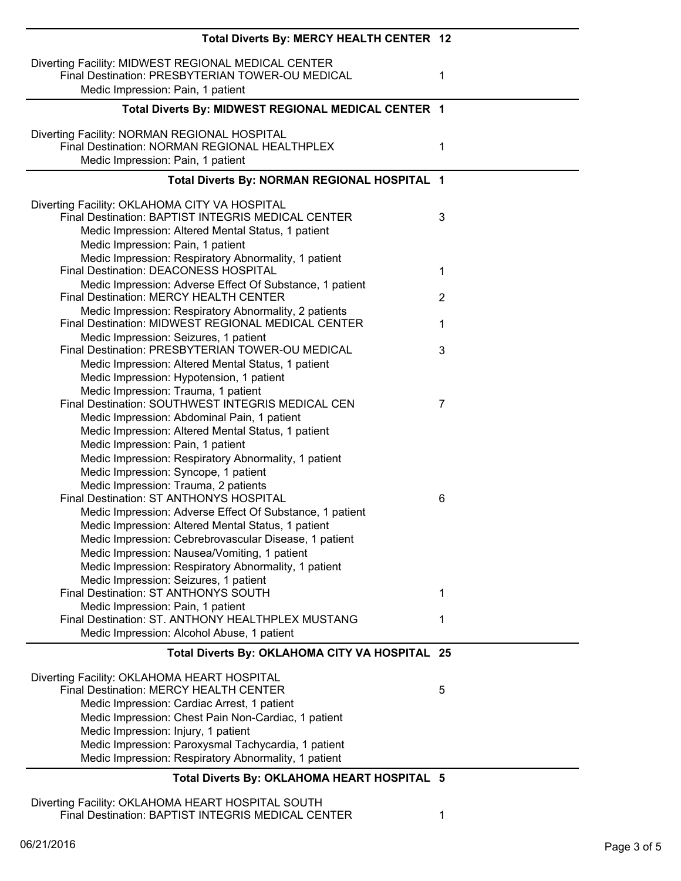| Total Diverts By: MERCY HEALTH CENTER 12                                                                                                                                                       |                |
|------------------------------------------------------------------------------------------------------------------------------------------------------------------------------------------------|----------------|
| Diverting Facility: MIDWEST REGIONAL MEDICAL CENTER<br>Final Destination: PRESBYTERIAN TOWER-OU MEDICAL<br>Medic Impression: Pain, 1 patient                                                   | 1              |
| Total Diverts By: MIDWEST REGIONAL MEDICAL CENTER 1                                                                                                                                            |                |
| Diverting Facility: NORMAN REGIONAL HOSPITAL<br>Final Destination: NORMAN REGIONAL HEALTHPLEX<br>Medic Impression: Pain, 1 patient                                                             | 1              |
| Total Diverts By: NORMAN REGIONAL HOSPITAL 1                                                                                                                                                   |                |
| Diverting Facility: OKLAHOMA CITY VA HOSPITAL<br>Final Destination: BAPTIST INTEGRIS MEDICAL CENTER<br>Medic Impression: Altered Mental Status, 1 patient<br>Medic Impression: Pain, 1 patient | 3              |
| Medic Impression: Respiratory Abnormality, 1 patient<br>Final Destination: DEACONESS HOSPITAL                                                                                                  | 1              |
| Medic Impression: Adverse Effect Of Substance, 1 patient<br>Final Destination: MERCY HEALTH CENTER                                                                                             | $\overline{2}$ |
| Medic Impression: Respiratory Abnormality, 2 patients<br>Final Destination: MIDWEST REGIONAL MEDICAL CENTER                                                                                    | 1              |
| Medic Impression: Seizures, 1 patient                                                                                                                                                          |                |
| Final Destination: PRESBYTERIAN TOWER-OU MEDICAL<br>Medic Impression: Altered Mental Status, 1 patient                                                                                         | 3              |
| Medic Impression: Hypotension, 1 patient                                                                                                                                                       |                |
| Medic Impression: Trauma, 1 patient                                                                                                                                                            |                |
| Final Destination: SOUTHWEST INTEGRIS MEDICAL CEN                                                                                                                                              | 7              |
| Medic Impression: Abdominal Pain, 1 patient<br>Medic Impression: Altered Mental Status, 1 patient                                                                                              |                |
| Medic Impression: Pain, 1 patient                                                                                                                                                              |                |
| Medic Impression: Respiratory Abnormality, 1 patient                                                                                                                                           |                |
| Medic Impression: Syncope, 1 patient                                                                                                                                                           |                |
| Medic Impression: Trauma, 2 patients                                                                                                                                                           |                |
| Final Destination: ST ANTHONYS HOSPITAL                                                                                                                                                        | 6              |
| Medic Impression: Adverse Effect Of Substance, 1 patient                                                                                                                                       |                |
| Medic Impression: Altered Mental Status, 1 patient                                                                                                                                             |                |
| Medic Impression: Cebrebrovascular Disease, 1 patient                                                                                                                                          |                |
| Medic Impression: Nausea/Vomiting, 1 patient<br>Medic Impression: Respiratory Abnormality, 1 patient                                                                                           |                |
| Medic Impression: Seizures, 1 patient                                                                                                                                                          |                |
| Final Destination: ST ANTHONYS SOUTH                                                                                                                                                           | 1              |
| Medic Impression: Pain, 1 patient                                                                                                                                                              |                |
| Final Destination: ST. ANTHONY HEALTHPLEX MUSTANG<br>Medic Impression: Alcohol Abuse, 1 patient                                                                                                | 1              |
|                                                                                                                                                                                                |                |
| Total Diverts By: OKLAHOMA CITY VA HOSPITAL 25                                                                                                                                                 |                |
| Diverting Facility: OKLAHOMA HEART HOSPITAL<br>Final Destination: MERCY HEALTH CENTER                                                                                                          | 5              |
| Medic Impression: Cardiac Arrest, 1 patient                                                                                                                                                    |                |
| Medic Impression: Chest Pain Non-Cardiac, 1 patient                                                                                                                                            |                |
| Medic Impression: Injury, 1 patient                                                                                                                                                            |                |
| Medic Impression: Paroxysmal Tachycardia, 1 patient                                                                                                                                            |                |
| Medic Impression: Respiratory Abnormality, 1 patient                                                                                                                                           |                |
| Total Diverts By: OKLAHOMA HEART HOSPITAL 5                                                                                                                                                    |                |

Diverting Facility: OKLAHOMA HEART HOSPITAL SOUTH Final Destination: BAPTIST INTEGRIS MEDICAL CENTER 1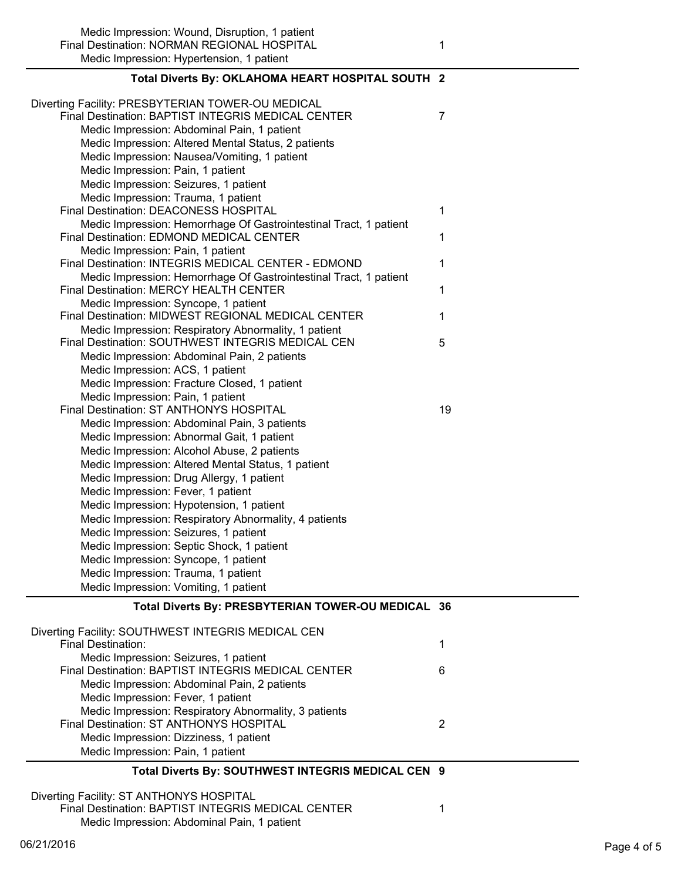Medic Impression: Wound, Disruption, 1 patient Final Destination: NORMAN REGIONAL HOSPITAL 1 Medic Impression: Hypertension, 1 patient

| Diverting Facility: PRESBYTERIAN TOWER-OU MEDICAL                                                             |    |
|---------------------------------------------------------------------------------------------------------------|----|
| Final Destination: BAPTIST INTEGRIS MEDICAL CENTER                                                            | 7  |
| Medic Impression: Abdominal Pain, 1 patient                                                                   |    |
| Medic Impression: Altered Mental Status, 2 patients                                                           |    |
| Medic Impression: Nausea/Vomiting, 1 patient                                                                  |    |
| Medic Impression: Pain, 1 patient                                                                             |    |
| Medic Impression: Seizures, 1 patient                                                                         |    |
| Medic Impression: Trauma, 1 patient                                                                           |    |
| Final Destination: DEACONESS HOSPITAL                                                                         | 1  |
| Medic Impression: Hemorrhage Of Gastrointestinal Tract, 1 patient<br>Final Destination: EDMOND MEDICAL CENTER | 1  |
| Medic Impression: Pain, 1 patient                                                                             |    |
| Final Destination: INTEGRIS MEDICAL CENTER - EDMOND                                                           | 1  |
| Medic Impression: Hemorrhage Of Gastrointestinal Tract, 1 patient<br>Final Destination: MERCY HEALTH CENTER   | 1  |
| Medic Impression: Syncope, 1 patient                                                                          |    |
| Final Destination: MIDWEST REGIONAL MEDICAL CENTER                                                            | 1  |
| Medic Impression: Respiratory Abnormality, 1 patient<br>Final Destination: SOUTHWEST INTEGRIS MEDICAL CEN     | 5  |
| Medic Impression: Abdominal Pain, 2 patients                                                                  |    |
| Medic Impression: ACS, 1 patient                                                                              |    |
| Medic Impression: Fracture Closed, 1 patient                                                                  |    |
| Medic Impression: Pain, 1 patient                                                                             |    |
| Final Destination: ST ANTHONYS HOSPITAL                                                                       | 19 |
| Medic Impression: Abdominal Pain, 3 patients                                                                  |    |
| Medic Impression: Abnormal Gait, 1 patient                                                                    |    |
| Medic Impression: Alcohol Abuse, 2 patients                                                                   |    |
| Medic Impression: Altered Mental Status, 1 patient                                                            |    |
| Medic Impression: Drug Allergy, 1 patient                                                                     |    |
| Medic Impression: Fever, 1 patient                                                                            |    |
| Medic Impression: Hypotension, 1 patient                                                                      |    |
| Medic Impression: Respiratory Abnormality, 4 patients                                                         |    |
| Medic Impression: Seizures, 1 patient                                                                         |    |
| Medic Impression: Septic Shock, 1 patient                                                                     |    |
| Medic Impression: Syncope, 1 patient                                                                          |    |
| Medic Impression: Trauma, 1 patient                                                                           |    |
| Medic Impression: Vomiting, 1 patient                                                                         |    |
| Total Diverts By: PRESBYTERIAN TOWER-OU MEDICAL 36                                                            |    |
| Diverting Facility: SOUTHWEST INTEGRIS MEDICAL CEN                                                            |    |
| <b>Final Destination:</b>                                                                                     | 1  |
| Medic Impression: Seizures, 1 patient                                                                         |    |
| Final Destination: BAPTIST INTEGRIS MEDICAL CENTER                                                            | 6  |
| Medic Impression: Abdominal Pain, 2 patients                                                                  |    |
| Medic Impression: Fever, 1 patient                                                                            |    |
| Medic Impression: Respiratory Abnormality, 3 patients                                                         |    |
| Final Destination: ST ANTHONYS HOSPITAL                                                                       | 2  |
| Medic Impression: Dizziness, 1 patient                                                                        |    |
| Medic Impression: Pain, 1 patient                                                                             |    |
| Total Diverts By: SOUTHWEST INTEGRIS MEDICAL CEN 9                                                            |    |
| Diverting Facility: ST ANTHONYS HOSPITAL                                                                      |    |
| Final Destination: BAPTIST INTEGRIS MEDICAL CENTER                                                            | 1  |
| Medic Impression: Abdominal Pain, 1 patient                                                                   |    |